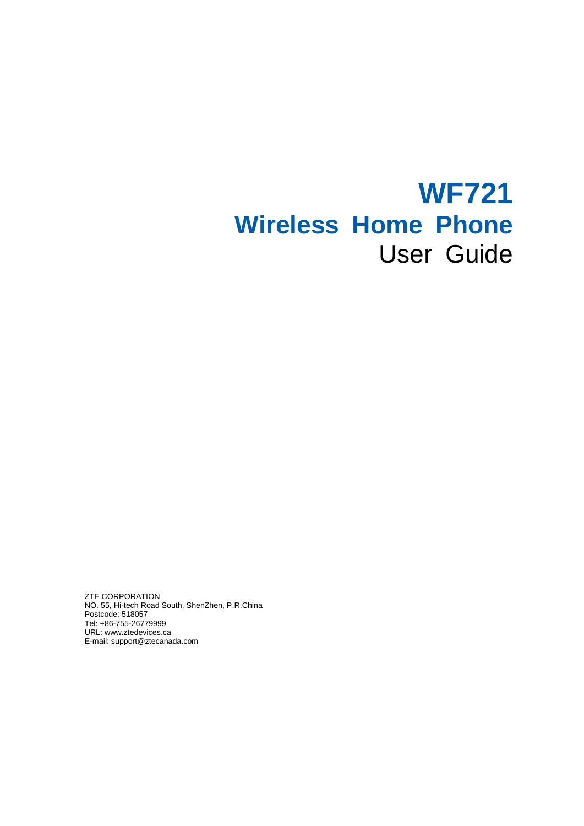# **WF721 Wireless Home Phone** User Guide

ZTE CORPORATION NO. 55, Hi-tech Road South, ShenZhen, P.R.China Postcode: 518057 Tel: +86-755-26779999 URL: www.ztedevices.ca E-mail: [support@ztecanada.com](mailto:support@ztecanada.com)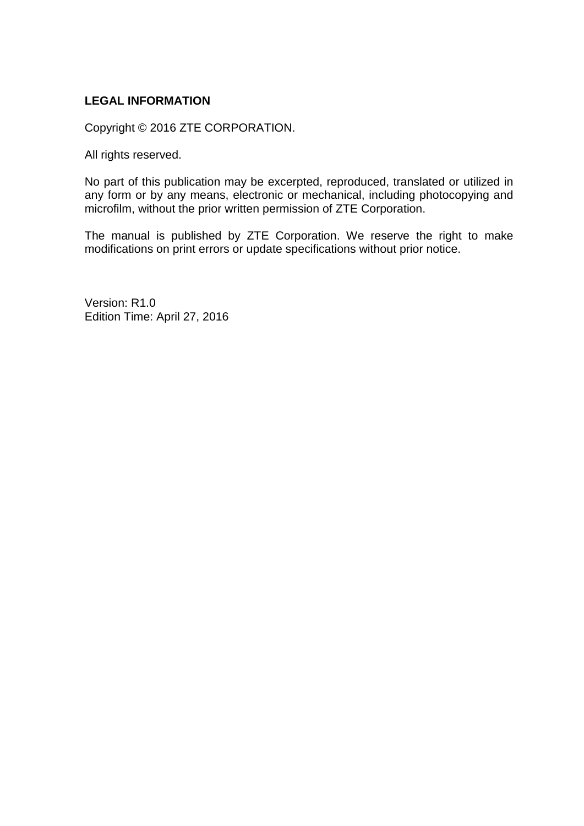#### **LEGAL INFORMATION**

Copyright © 2016 ZTE CORPORATION.

All rights reserved.

No part of this publication may be excerpted, reproduced, translated or utilized in any form or by any means, electronic or mechanical, including photocopying and microfilm, without the prior written permission of ZTE Corporation.

The manual is published by ZTE Corporation. We reserve the right to make modifications on print errors or update specifications without prior notice.

Version: R1.0 Edition Time: April 27, 2016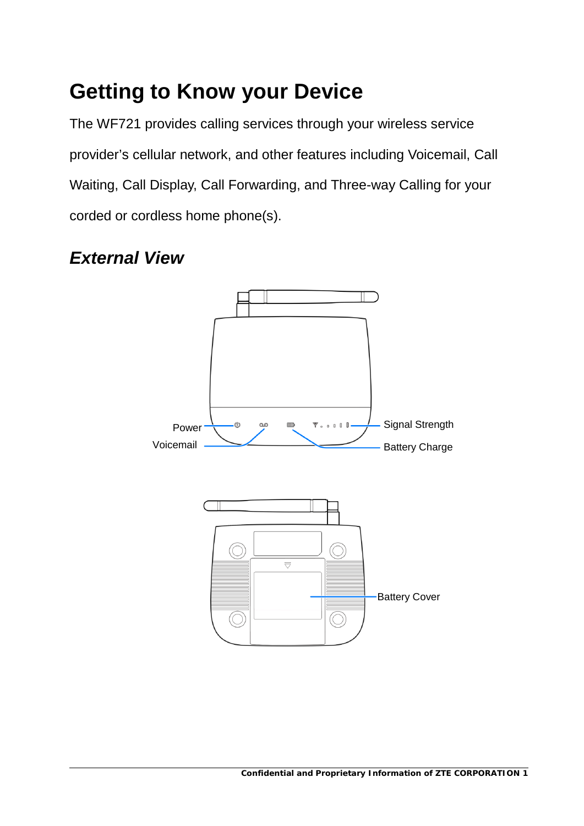# <span id="page-4-0"></span>**Getting to Know your Device**

The WF721 provides calling services through your wireless service provider's cellular network, and other features including Voicemail, Call Waiting, Call Display, Call Forwarding, and Three-way Calling for your corded or cordless home phone(s).

## <span id="page-4-1"></span>*External View*

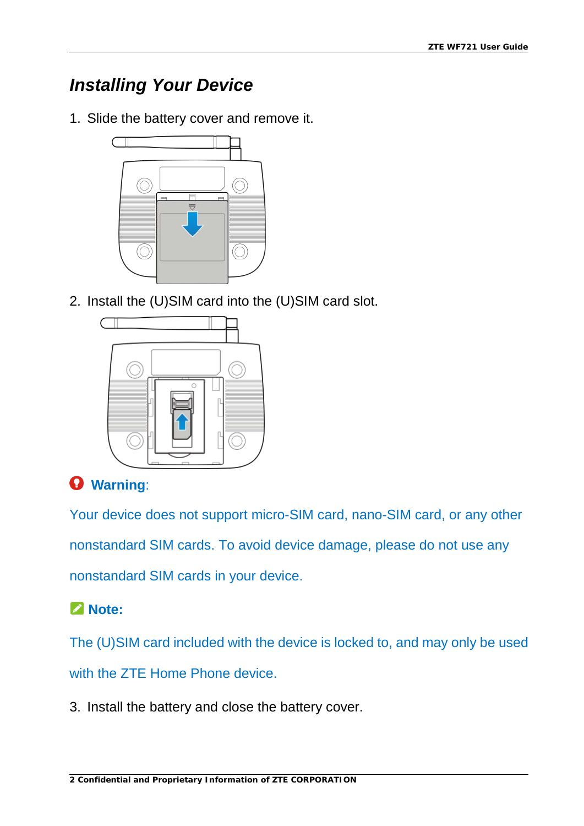# <span id="page-5-0"></span>*Installing Your Device*

1. Slide the battery cover and remove it.



2. Install the (U)SIM card into the (U)SIM card slot.



## **Warning**:

Your device does not support micro-SIM card, nano-SIM card, or any other nonstandard SIM cards. To avoid device damage, please do not use any nonstandard SIM cards in your device.

## **Note:**

The (U)SIM card included with the device is locked to, and may only be used with the ZTE Home Phone device.

3. Install the battery and close the battery cover.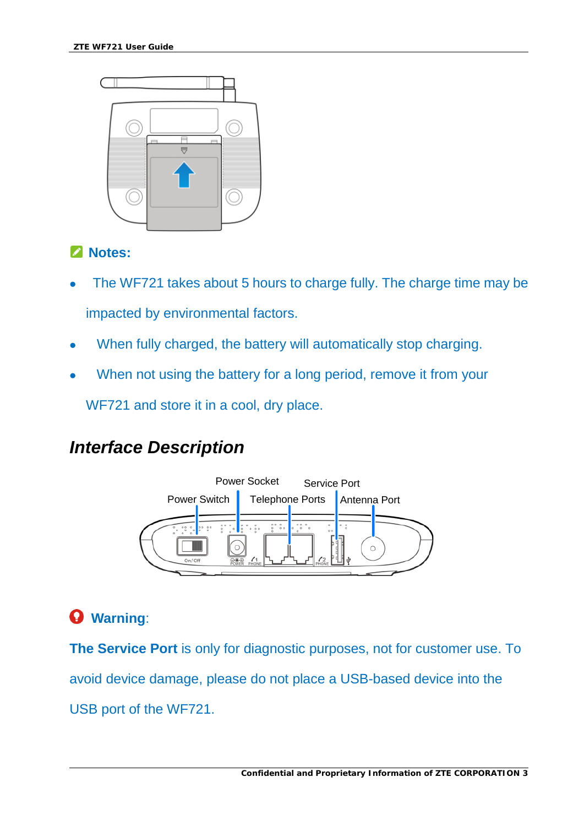

#### **Notes:**

- The WF721 takes about 5 hours to charge fully. The charge time may be impacted by environmental factors.
- When fully charged, the battery will automatically stop charging.
- When not using the battery for a long period, remove it from your

WF721 and store it in a cool, dry place.

# <span id="page-6-0"></span>*Interface Description*



# **Warning**:

**The Service Port** is only for diagnostic purposes, not for customer use. To avoid device damage, please do not place a USB-based device into the USB port of the WF721.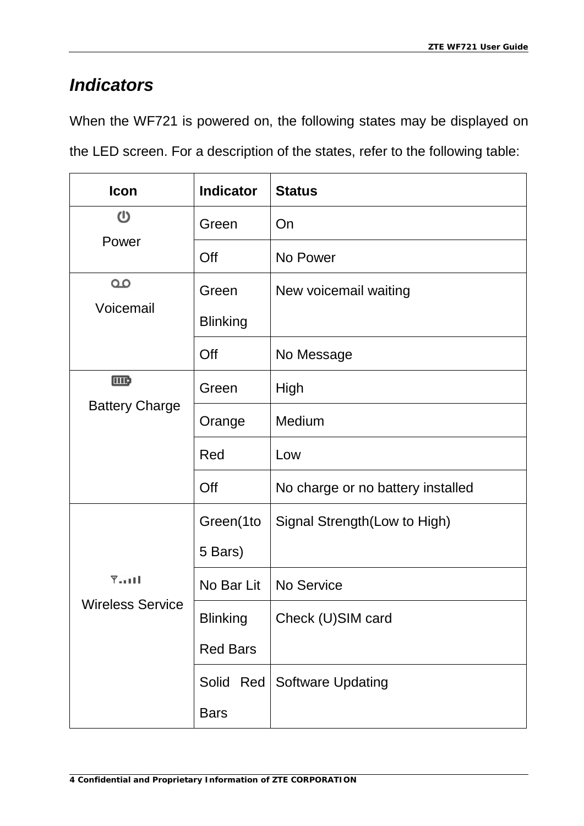# <span id="page-7-0"></span>*Indicators*

When the WF721 is powered on, the following states may be displayed on the LED screen. For a description of the states, refer to the following table:

| Icon                    | <b>Indicator</b> | <b>Status</b>                     |
|-------------------------|------------------|-----------------------------------|
| $\mathbf 0$             | Green            | On                                |
| Power                   | Off              | No Power                          |
| $\Omega$<br>Voicemail   | Green            | New voicemail waiting             |
|                         | <b>Blinking</b>  |                                   |
|                         | Off              | No Message                        |
| $\Box$                  | Green            | High                              |
| <b>Battery Charge</b>   | Orange           | Medium                            |
|                         | Red              | Low                               |
|                         | Off              | No charge or no battery installed |
|                         | Green(1to        | Signal Strength (Low to High)     |
|                         | 5 Bars)          |                                   |
| $Y$                     | No Bar Lit       | No Service                        |
| <b>Wireless Service</b> | <b>Blinking</b>  | Check (U)SIM card                 |
|                         | <b>Red Bars</b>  |                                   |
|                         | Red<br>Solid     | <b>Software Updating</b>          |
|                         | <b>Bars</b>      |                                   |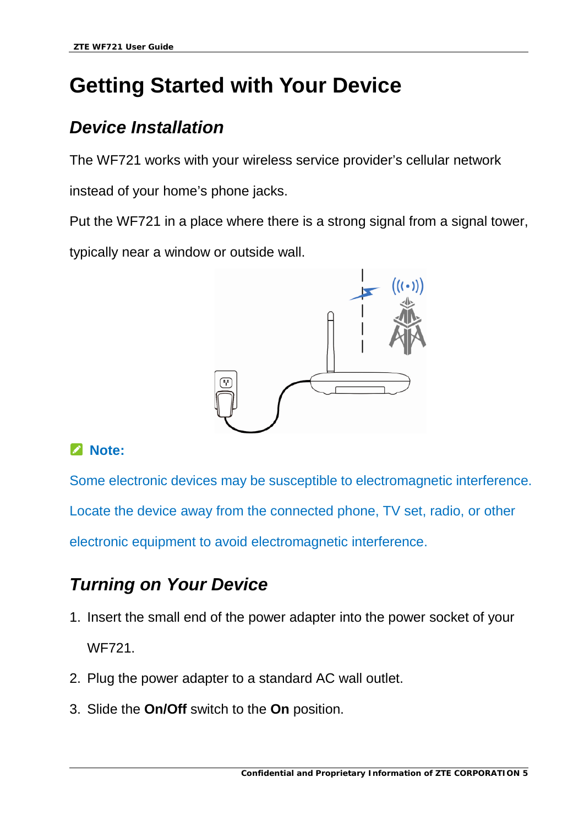# <span id="page-8-0"></span>**Getting Started with Your Device**

# <span id="page-8-1"></span>*Device Installation*

The WF721 works with your wireless service provider's cellular network

instead of your home's phone jacks.

Put the WF721 in a place where there is a strong signal from a signal tower,

typically near a window or outside wall.



## **Note:**

Some electronic devices may be susceptible to electromagnetic interference. Locate the device away from the connected phone, TV set, radio, or other electronic equipment to avoid electromagnetic interference.

# <span id="page-8-2"></span>*Turning on Your Device*

- 1. Insert the small end of the power adapter into the power socket of your WF721.
- 2. Plug the power adapter to a standard AC wall outlet.
- 3. Slide the **On/Off** switch to the **On** position.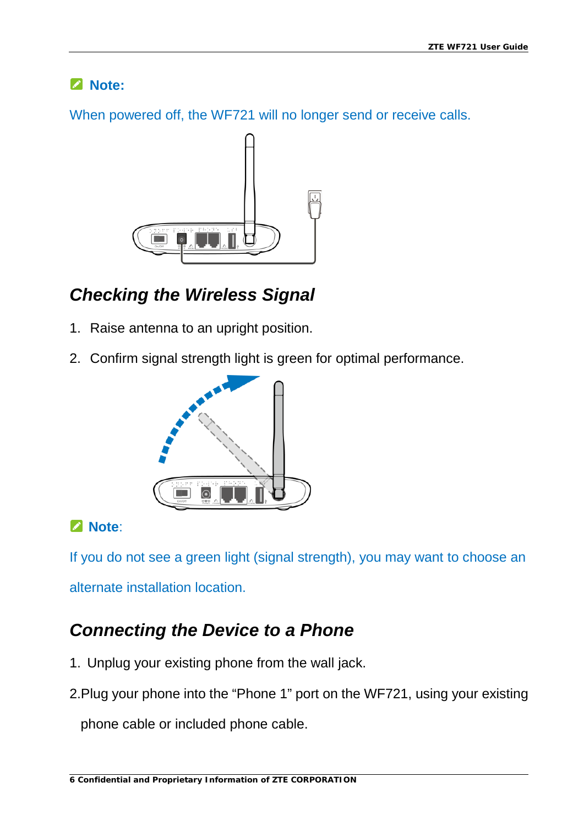## **Note:**

When powered off, the WF721 will no longer send or receive calls.



# <span id="page-9-0"></span>*Checking the Wireless Signal*

- 1. Raise antenna to an upright position.
- 2. Confirm signal strength light is green for optimal performance.



## **Note**:

If you do not see a green light (signal strength), you may want to choose an

alternate installation location.

# <span id="page-9-1"></span>*Connecting the Device to a Phone*

- 1. Unplug your existing phone from the wall jack.
- 2.Plug your phone into the "Phone 1" port on the WF721, using your existing

phone cable or included phone cable.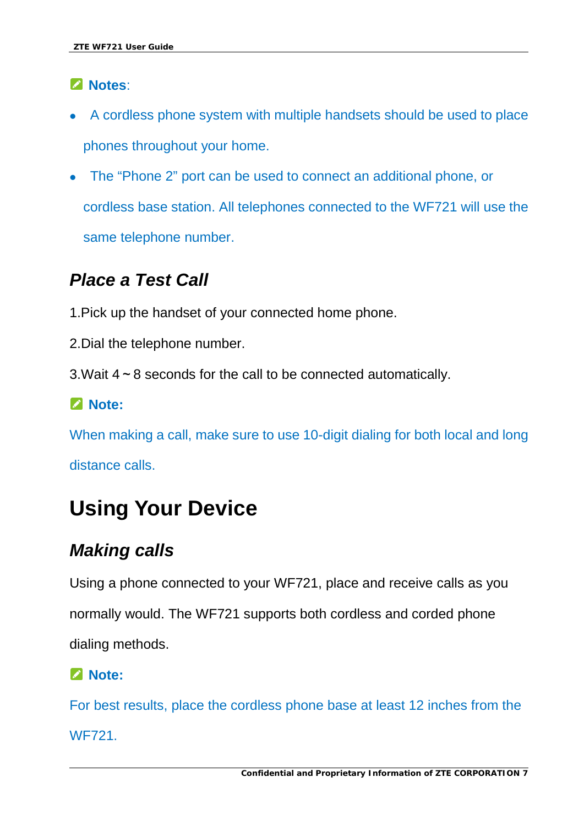### **Notes**:

- A cordless phone system with multiple handsets should be used to place phones throughout your home.
- The "Phone 2" port can be used to connect an additional phone, or cordless base station. All telephones connected to the WF721 will use the same telephone number.

# <span id="page-10-0"></span>*Place a Test Call*

- 1.Pick up the handset of your connected home phone.
- 2.Dial the telephone number.
- 3.Wait 4~8 seconds for the call to be connected automatically.

### **Note:**

When making a call, make sure to use 10-digit dialing for both local and long distance calls.

# <span id="page-10-1"></span>**Using Your Device**

# <span id="page-10-2"></span>*Making calls*

Using a phone connected to your WF721, place and receive calls as you

normally would. The WF721 supports both cordless and corded phone

dialing methods.

### **Note:**

For best results, place the cordless phone base at least 12 inches from the WF721.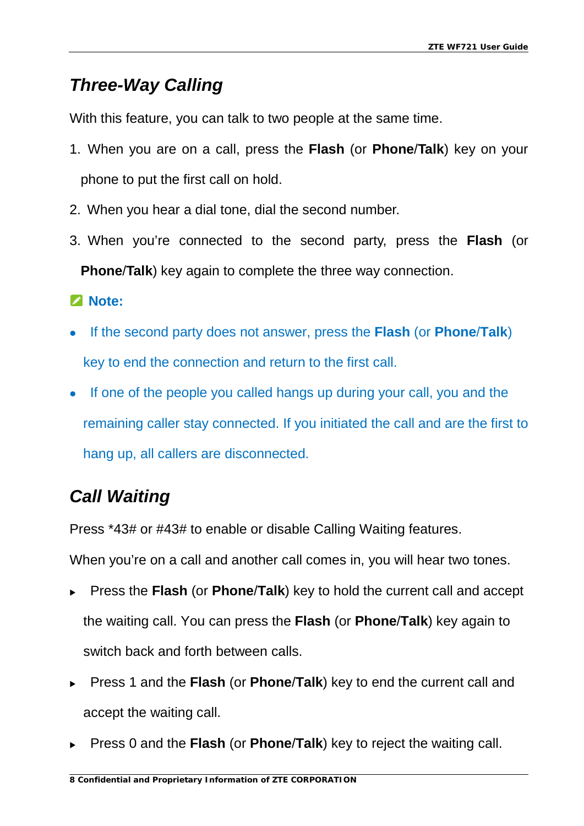# <span id="page-11-0"></span>*Three-Way Calling*

With this feature, you can talk to two people at the same time.

- 1. When you are on a call, press the **Flash** (or **Phone**/**Talk**) key on your phone to put the first call on hold.
- 2. When you hear a dial tone, dial the second number.
- 3. When you're connected to the second party, press the **Flash** (or **Phone**/**Talk**) key again to complete the three way connection.

### **Note:**

- If the second party does not answer, press the **Flash** (or **Phone**/**Talk**) key to end the connection and return to the first call.
- If one of the people you called hangs up during your call, you and the remaining caller stay connected. If you initiated the call and are the first to hang up, all callers are disconnected.

# <span id="page-11-1"></span>*Call Waiting*

Press \*43# or #43# to enable or disable Calling Waiting features.

When you're on a call and another call comes in, you will hear two tones.

- Press the **Flash** (or **Phone**/**Talk**) key to hold the current call and accept the waiting call. You can press the **Flash** (or **Phone**/**Talk**) key again to switch back and forth between calls.
- Press 1 and the **Flash** (or **Phone**/**Talk**) key to end the current call and accept the waiting call.
- Press 0 and the **Flash** (or **Phone**/**Talk**) key to reject the waiting call.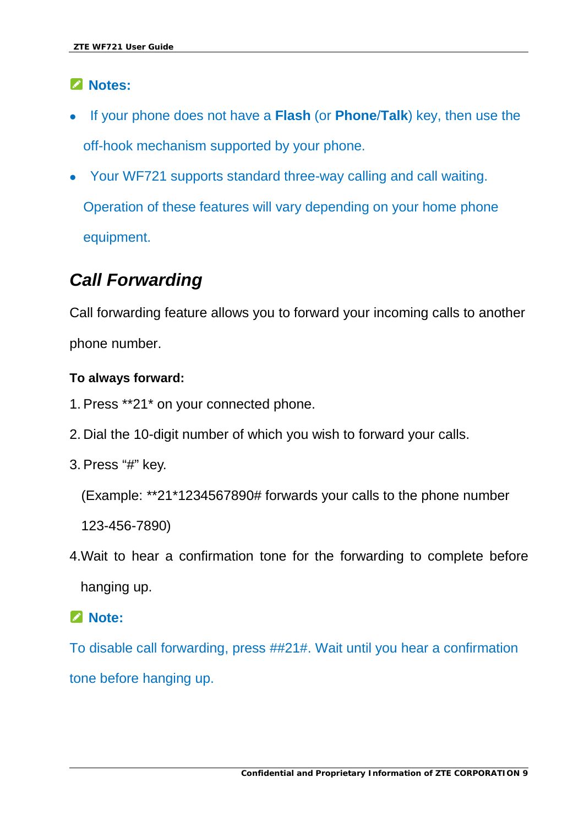### **Notes:**

- If your phone does not have a **Flash** (or **Phone**/**Talk**) key, then use the off-hook mechanism supported by your phone.
- Your WF721 supports standard three-way calling and call waiting. Operation of these features will vary depending on your home phone equipment.

# <span id="page-12-0"></span>*Call Forwarding*

Call forwarding feature allows you to forward your incoming calls to another phone number.

#### **To always forward:**

- 1. Press \*\*21\* on your connected phone.
- 2. Dial the 10-digit number of which you wish to forward your calls.
- 3. Press "#" key.

(Example: \*\*21\*1234567890# forwards your calls to the phone number

123-456-7890)

4.Wait to hear a confirmation tone for the forwarding to complete before hanging up.

#### **Note:**

To disable call forwarding, press ##21#. Wait until you hear a confirmation tone before hanging up.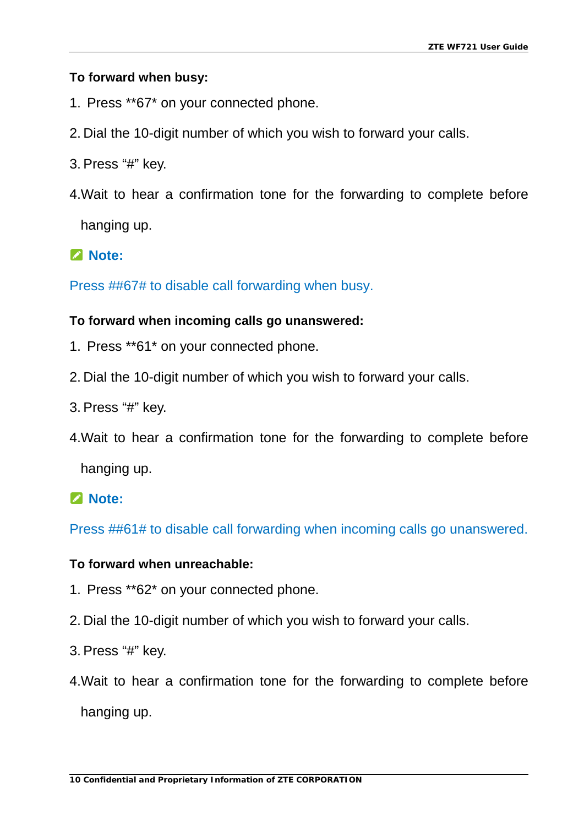#### **To forward when busy:**

- 1. Press \*\*67\* on your connected phone.
- 2. Dial the 10-digit number of which you wish to forward your calls.
- 3. Press "#" key.
- 4.Wait to hear a confirmation tone for the forwarding to complete before hanging up.

#### **Note:**

Press ##67# to disable call forwarding when busy.

#### **To forward when incoming calls go unanswered:**

- 1. Press \*\*61\* on your connected phone.
- 2. Dial the 10-digit number of which you wish to forward your calls.
- 3. Press "#" key.
- 4.Wait to hear a confirmation tone for the forwarding to complete before

hanging up.

#### **Note:**

Press ##61# to disable call forwarding when incoming calls go unanswered.

#### **To forward when unreachable:**

- 1. Press \*\*62\* on your connected phone.
- 2. Dial the 10-digit number of which you wish to forward your calls.
- 3. Press "#" key.
- 4.Wait to hear a confirmation tone for the forwarding to complete before hanging up.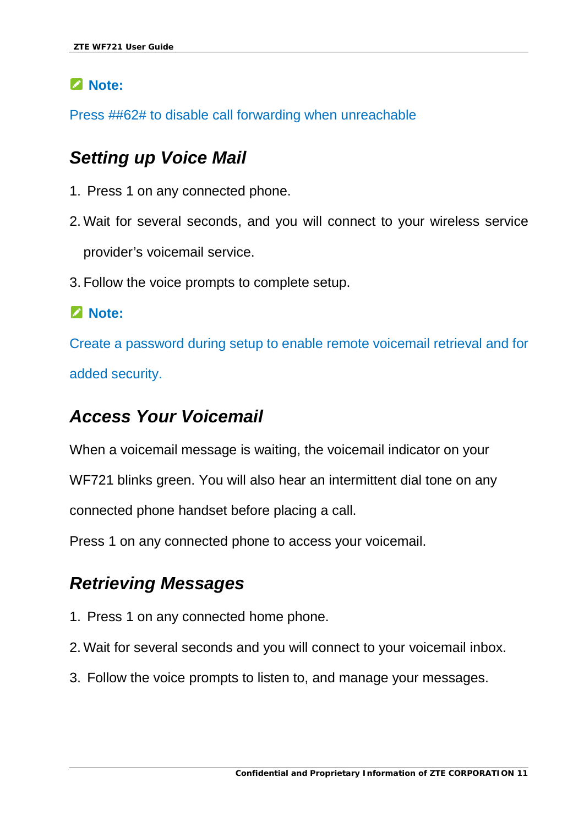### **Note:**

Press ##62# to disable call forwarding when unreachable

## <span id="page-14-0"></span>*Setting up Voice Mail*

- 1. Press 1 on any connected phone.
- 2. Wait for several seconds, and you will connect to your wireless service provider's voicemail service.
- 3. Follow the voice prompts to complete setup.

#### **Note:**

Create a password during setup to enable remote voicemail retrieval and for added security.

## <span id="page-14-1"></span>*Access Your Voicemail*

When a voicemail message is waiting, the voicemail indicator on your

WF721 blinks green. You will also hear an intermittent dial tone on any

connected phone handset before placing a call.

Press 1 on any connected phone to access your voicemail.

### <span id="page-14-2"></span>*Retrieving Messages*

- 1. Press 1 on any connected home phone.
- 2. Wait for several seconds and you will connect to your voicemail inbox.
- 3. Follow the voice prompts to listen to, and manage your messages.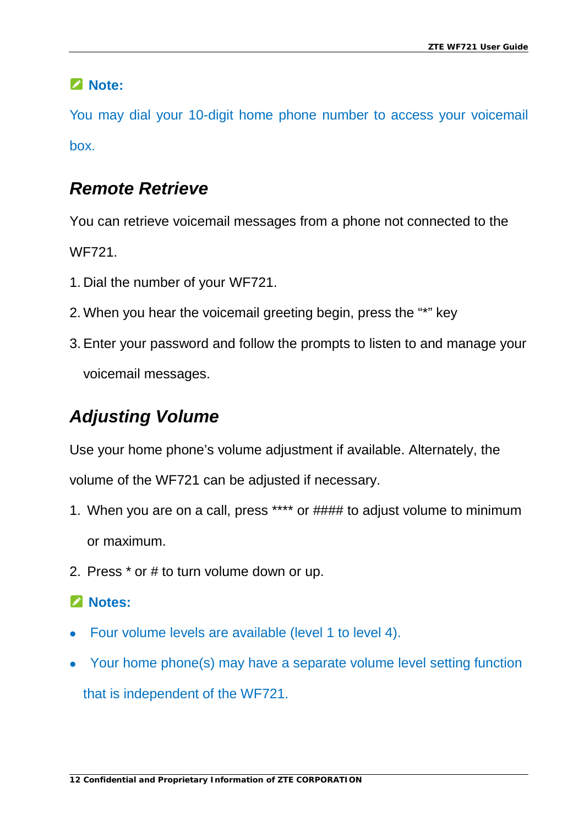## **Note:**

You may dial your 10-digit home phone number to access your voicemail box.

# <span id="page-15-0"></span>*Remote Retrieve*

You can retrieve voicemail messages from a phone not connected to the WF721.

- 1. Dial the number of your WF721.
- 2. When you hear the voicemail greeting begin, press the "\*" key
- 3.Enter your password and follow the prompts to listen to and manage your voicemail messages.

# <span id="page-15-1"></span>*Adjusting Volume*

Use your home phone's volume adjustment if available. Alternately, the volume of the WF721 can be adjusted if necessary.

- 1. When you are on a call, press \*\*\*\* or #### to adjust volume to minimum or maximum.
- 2. Press \* or # to turn volume down or up.

## **Z** Notes:

- Four volume levels are available (level 1 to level 4).
- Your home phone(s) may have a separate volume level setting function that is independent of the WF721.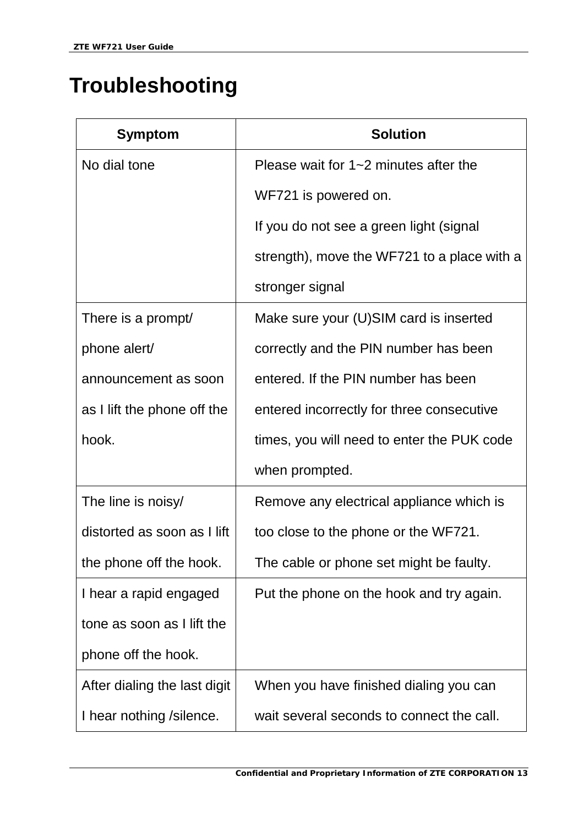# <span id="page-16-0"></span>**Troubleshooting**

| <b>Symptom</b>               | <b>Solution</b>                             |
|------------------------------|---------------------------------------------|
| No dial tone                 | Please wait for $1 - 2$ minutes after the   |
|                              | WF721 is powered on.                        |
|                              | If you do not see a green light (signal     |
|                              | strength), move the WF721 to a place with a |
|                              | stronger signal                             |
| There is a prompt/           | Make sure your (U)SIM card is inserted      |
| phone alert/                 | correctly and the PIN number has been       |
| announcement as soon         | entered. If the PIN number has been         |
| as I lift the phone off the  | entered incorrectly for three consecutive   |
| hook.                        | times, you will need to enter the PUK code  |
|                              | when prompted.                              |
| The line is noisy/           | Remove any electrical appliance which is    |
| distorted as soon as I lift  | too close to the phone or the WF721.        |
| the phone off the hook.      | The cable or phone set might be faulty.     |
| I hear a rapid engaged       | Put the phone on the hook and try again.    |
| tone as soon as I lift the   |                                             |
| phone off the hook.          |                                             |
| After dialing the last digit | When you have finished dialing you can      |
| I hear nothing / silence.    | wait several seconds to connect the call.   |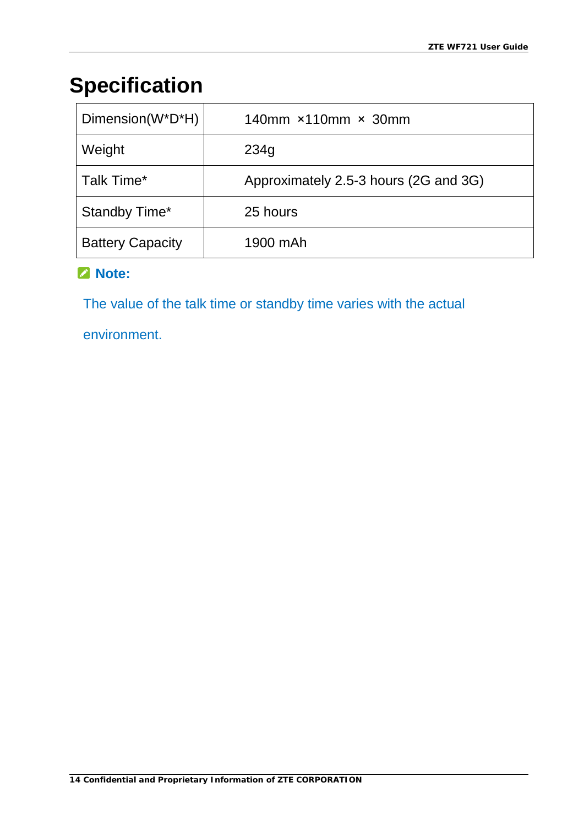# <span id="page-17-0"></span>**Specification**

| Dimension(W*D*H)        | 140mm $\times$ 110mm $\times$ 30mm    |
|-------------------------|---------------------------------------|
| Weight                  | 234g                                  |
| Talk Time*              | Approximately 2.5-3 hours (2G and 3G) |
| Standby Time*           | 25 hours                              |
| <b>Battery Capacity</b> | 1900 mAh                              |

### **Note:**

The value of the talk time or standby time varies with the actual

environment.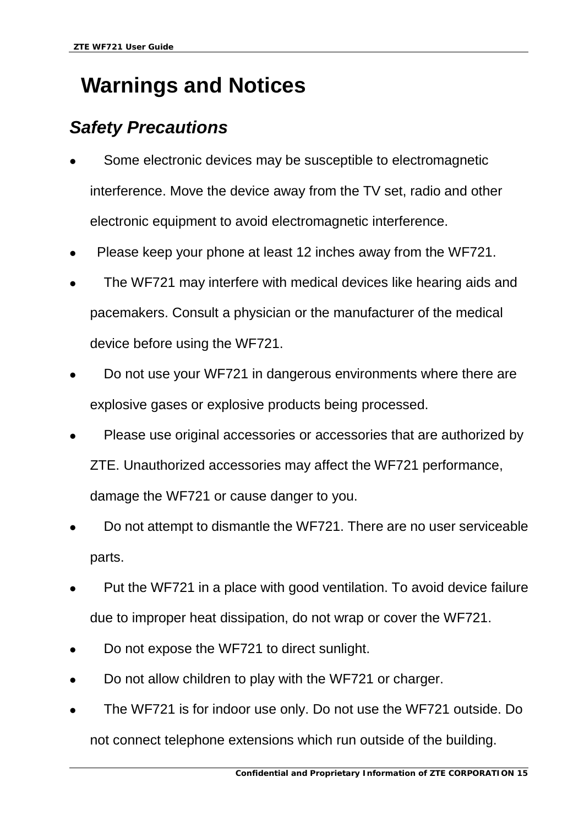# <span id="page-18-0"></span>**Warnings and Notices**

# <span id="page-18-1"></span>*Safety Precautions*

- Some electronic devices may be susceptible to electromagnetic interference. Move the device away from the TV set, radio and other electronic equipment to avoid electromagnetic interference.
- Please keep your phone at least 12 inches away from the WF721.
- The WF721 may interfere with medical devices like hearing aids and pacemakers. Consult a physician or the manufacturer of the medical device before using the WF721.
- Do not use your WF721 in dangerous environments where there are explosive gases or explosive products being processed.
- Please use original accessories or accessories that are authorized by ZTE. Unauthorized accessories may affect the WF721 performance, damage the WF721 or cause danger to you.
- Do not attempt to dismantle the WF721. There are no user serviceable parts.
- Put the WF721 in a place with good ventilation. To avoid device failure due to improper heat dissipation, do not wrap or cover the WF721.
- Do not expose the WF721 to direct sunlight.
- Do not allow children to play with the WF721 or charger.
- The WF721 is for indoor use only. Do not use the WF721 outside. Do not connect telephone extensions which run outside of the building.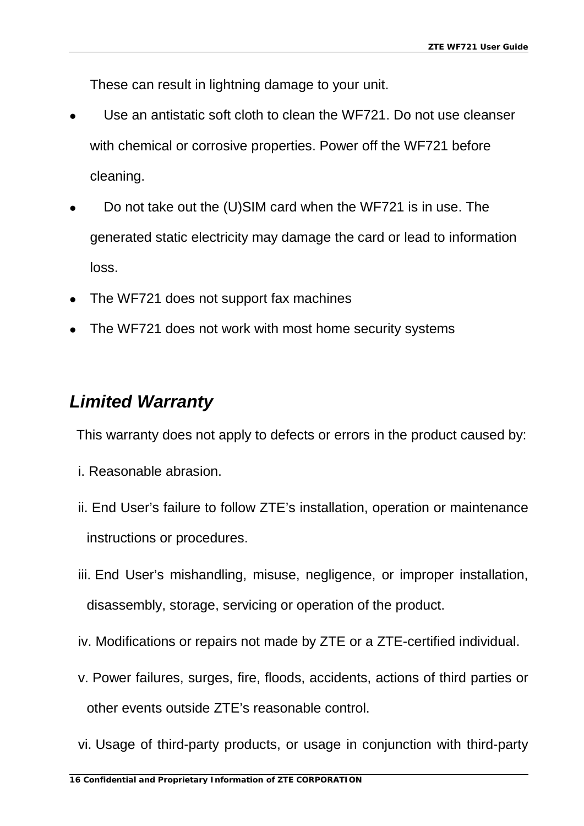These can result in lightning damage to your unit.

- Use an antistatic soft cloth to clean the WF721. Do not use cleanser with chemical or corrosive properties. Power off the WF721 before cleaning.
- Do not take out the (U)SIM card when the WF721 is in use. The generated static electricity may damage the card or lead to information loss.
- The WF721 does not support fax machines
- The WF721 does not work with most home security systems

### <span id="page-19-0"></span>*Limited Warranty*

This warranty does not apply to defects or errors in the product caused by:

- i. Reasonable abrasion.
- ii. End User's failure to follow ZTE's installation, operation or maintenance instructions or procedures.
- iii. End User's mishandling, misuse, negligence, or improper installation, disassembly, storage, servicing or operation of the product.
- iv. Modifications or repairs not made by ZTE or a ZTE-certified individual.
- v. Power failures, surges, fire, floods, accidents, actions of third parties or other events outside ZTE's reasonable control.
- vi. Usage of third-party products, or usage in conjunction with third-party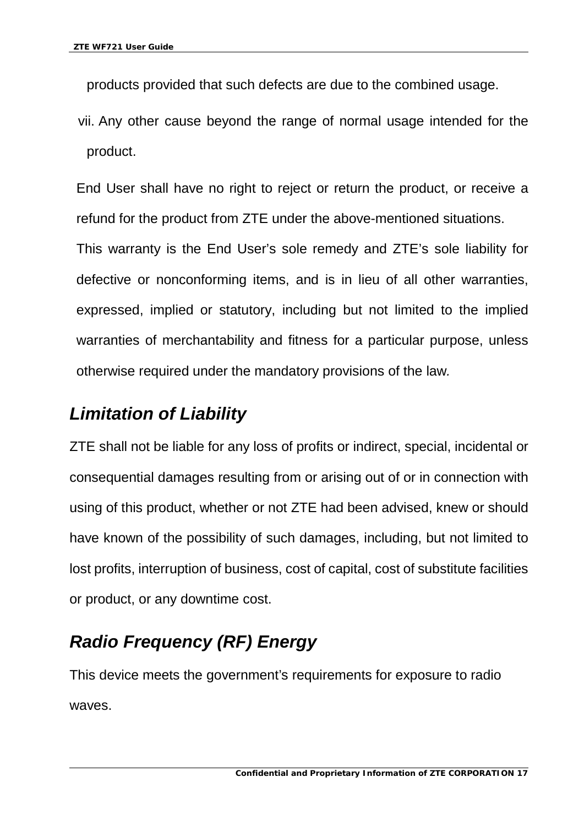products provided that such defects are due to the combined usage.

vii. Any other cause beyond the range of normal usage intended for the product.

End User shall have no right to reject or return the product, or receive a refund for the product from ZTE under the above-mentioned situations. This warranty is the End User's sole remedy and ZTE's sole liability for defective or nonconforming items, and is in lieu of all other warranties, expressed, implied or statutory, including but not limited to the implied warranties of merchantability and fitness for a particular purpose, unless otherwise required under the mandatory provisions of the law*.*

# <span id="page-20-0"></span>*Limitation of Liability*

ZTE shall not be liable for any loss of profits or indirect, special, incidental or consequential damages resulting from or arising out of or in connection with using of this product, whether or not ZTE had been advised, knew or should have known of the possibility of such damages, including, but not limited to lost profits, interruption of business, cost of capital, cost of substitute facilities or product, or any downtime cost.

# <span id="page-20-1"></span>*Radio Frequency (RF) Energy*

This device meets the government's requirements for exposure to radio waves.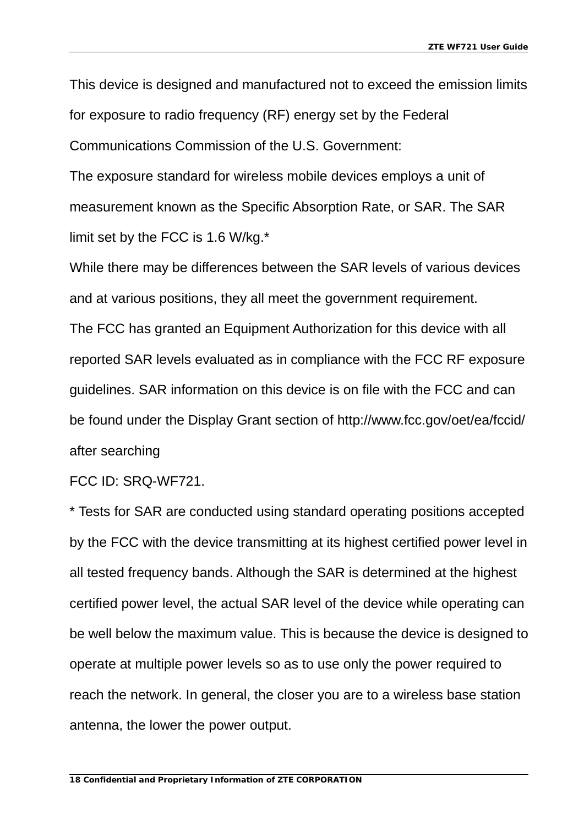This device is designed and manufactured not to exceed the emission limits for exposure to radio frequency (RF) energy set by the Federal Communications Commission of the U.S. Government:

The exposure standard for wireless mobile devices employs a unit of measurement known as the Specific Absorption Rate, or SAR. The SAR limit set by the FCC is 1.6 W/kg.\*

While there may be differences between the SAR levels of various devices and at various positions, they all meet the government requirement. The FCC has granted an Equipment Authorization for this device with all reported SAR levels evaluated as in compliance with the FCC RF exposure guidelines. SAR information on this device is on file with the FCC and can be found under the Display Grant section of http://www.fcc.gov/oet/ea/fccid/ after searching

FCC ID: SRQ-WF721.

\* Tests for SAR are conducted using standard operating positions accepted by the FCC with the device transmitting at its highest certified power level in all tested frequency bands. Although the SAR is determined at the highest certified power level, the actual SAR level of the device while operating can be well below the maximum value. This is because the device is designed to operate at multiple power levels so as to use only the power required to reach the network. In general, the closer you are to a wireless base station antenna, the lower the power output.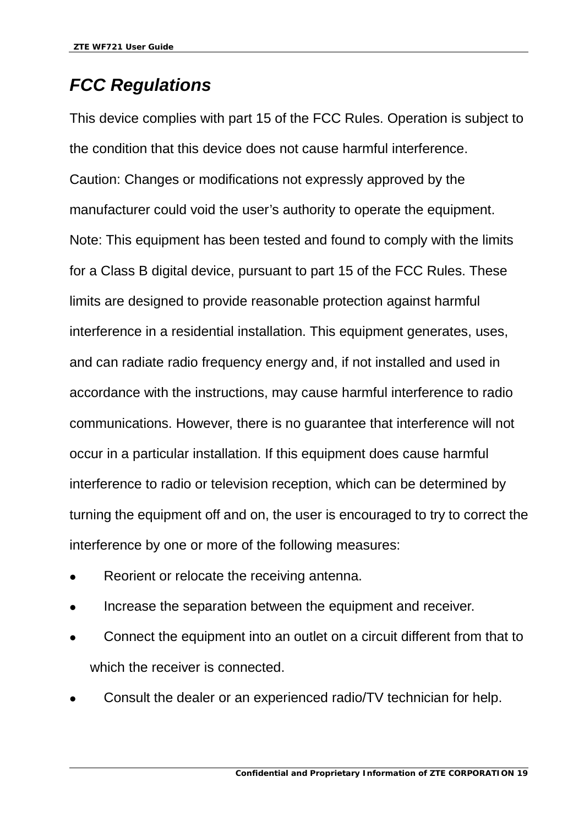# <span id="page-22-0"></span>*FCC Regulations*

This device complies with part 15 of the FCC Rules. Operation is subject to the condition that this device does not cause harmful interference. Caution: Changes or modifications not expressly approved by the manufacturer could void the user's authority to operate the equipment. Note: This equipment has been tested and found to comply with the limits for a Class B digital device, pursuant to part 15 of the FCC Rules. These limits are designed to provide reasonable protection against harmful interference in a residential installation. This equipment generates, uses, and can radiate radio frequency energy and, if not installed and used in accordance with the instructions, may cause harmful interference to radio communications. However, there is no guarantee that interference will not occur in a particular installation. If this equipment does cause harmful interference to radio or television reception, which can be determined by turning the equipment off and on, the user is encouraged to try to correct the interference by one or more of the following measures:

- Reorient or relocate the receiving antenna.
- Increase the separation between the equipment and receiver.
- Connect the equipment into an outlet on a circuit different from that to which the receiver is connected.
- Consult the dealer or an experienced radio/TV technician for help.